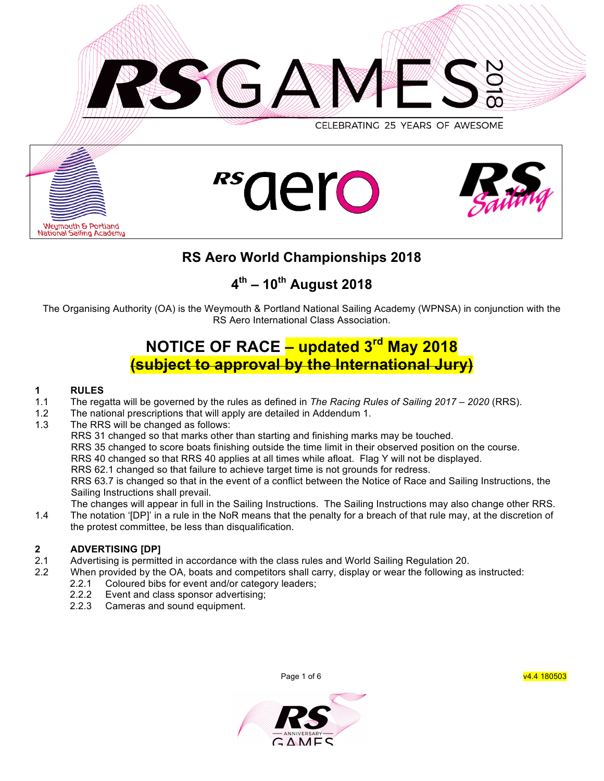







# **RS Aero World Championships 2018**

# **4th – 10th August 2018**

The Organising Authority (OA) is the Weymouth & Portland National Sailing Academy (WPNSA) in conjunction with the RS Aero International Class Association.

# **NOTICE OF RACE – updated 3rd May 2018 (subject to approval by the International Jury)**

## **1 RULES**

- 1.1 The regatta will be governed by the rules as defined in *The Racing Rules of Sailing 2017 – 2020* (RRS).
- 1.2 The national prescriptions that will apply are detailed in Addendum 1.
- 1.3 The RRS will be changed as follows:

RRS 31 changed so that marks other than starting and finishing marks may be touched.

RRS 35 changed to score boats finishing outside the time limit in their observed position on the course.

RRS 40 changed so that RRS 40 applies at all times while afloat. Flag Y will not be displayed.

RRS 62.1 changed so that failure to achieve target time is not grounds for redress.

RRS 63.7 is changed so that in the event of a conflict between the Notice of Race and Sailing Instructions, the Sailing Instructions shall prevail.

The changes will appear in full in the Sailing Instructions. The Sailing Instructions may also change other RRS. 1.4 The notation '[DP]' in a rule in the NoR means that the penalty for a breach of that rule may, at the discretion of the protest committee, be less than disqualification.

# **2 ADVERTISING [DP]**

- 2.1 Advertising is permitted in accordance with the class rules and World Sailing Regulation 20.
- 2.2 When provided by the OA, boats and competitors shall carry, display or wear the following as instructed:
	- 2.2.1 Coloured bibs for event and/or category leaders;
	- 2.2.2 Event and class sponsor advertising;
	- 2.2.3 Cameras and sound equipment.

Page 1 of 6 v4.4 180503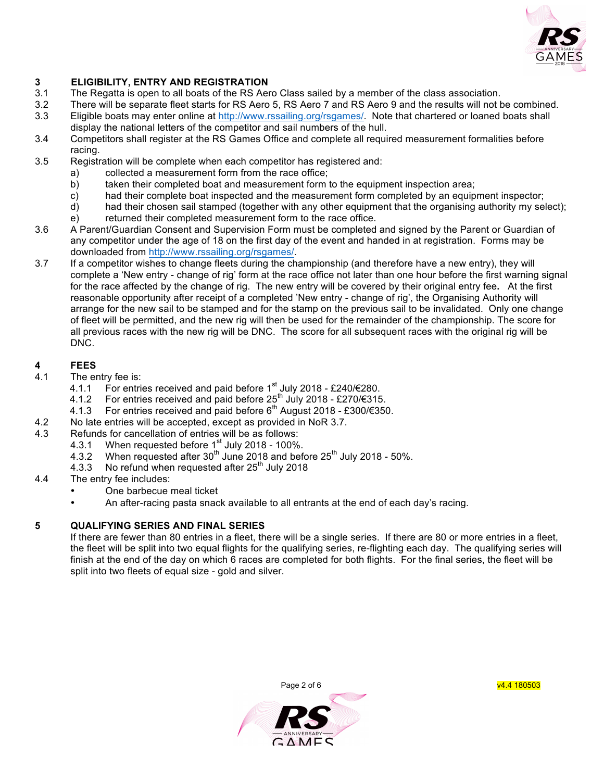

## **3 ELIGIBILITY, ENTRY AND REGISTRATION**

- 3.1 The Regatta is open to all boats of the RS Aero Class sailed by a member of the class association.
- 3.2 There will be separate fleet starts for RS Aero 5, RS Aero 7 and RS Aero 9 and the results will not be combined.
- 3.3 Eligible boats may enter online at http://www.rssailing.org/rsgames/. Note that chartered or loaned boats shall display the national letters of the competitor and sail numbers of the hull.
- 3.4 Competitors shall register at the RS Games Office and complete all required measurement formalities before racing.
- 3.5 Registration will be complete when each competitor has registered and:
	- a) collected a measurement form from the race office;
	- b) taken their completed boat and measurement form to the equipment inspection area;
	- c) had their complete boat inspected and the measurement form completed by an equipment inspector;
	- d) had their chosen sail stamped (together with any other equipment that the organising authority my select);
	- e) returned their completed measurement form to the race office.
- 3.6 A Parent/Guardian Consent and Supervision Form must be completed and signed by the Parent or Guardian of any competitor under the age of 18 on the first day of the event and handed in at registration. Forms may be downloaded from http://www.rssailing.org/rsgames/.
- 3.7 If a competitor wishes to change fleets during the championship (and therefore have a new entry), they will complete a 'New entry - change of rig' form at the race office not later than one hour before the first warning signal for the race affected by the change of rig. The new entry will be covered by their original entry fee**.** At the first reasonable opportunity after receipt of a completed 'New entry - change of rig', the Organising Authority will arrange for the new sail to be stamped and for the stamp on the previous sail to be invalidated. Only one change of fleet will be permitted, and the new rig will then be used for the remainder of the championship. The score for all previous races with the new rig will be DNC. The score for all subsequent races with the original rig will be DNC.

# **4 FEES**

- The entry fee is:
	- 4.1.1 For entries received and paid before 1<sup>st</sup> July 2018 £240/€280.
	- 4.1.2 For entries received and paid before  $25<sup>th</sup>$  July 2018 £270/€315.
	- 4.1.3 For entries received and paid before  $6<sup>th</sup>$  August 2018 £300/€350.
- 4.2 No late entries will be accepted, except as provided in NoR 3.7.
- 4.3 Refunds for cancellation of entries will be as follows:
	- 4.3.1 When requested before  $1<sup>st</sup>$  July 2018 100%.
	- 4.3.2 When requested after  $30<sup>th</sup>$  June 2018 and before  $25<sup>th</sup>$  July 2018 50%.
	- 4.3.3 No refund when requested after 25<sup>th</sup> July 2018
- 4.4 The entry fee includes:
	- One barbecue meal ticket
	- An after-racing pasta snack available to all entrants at the end of each day's racing.

## **5 QUALIFYING SERIES AND FINAL SERIES**

If there are fewer than 80 entries in a fleet, there will be a single series. If there are 80 or more entries in a fleet, the fleet will be split into two equal flights for the qualifying series, re-flighting each day. The qualifying series will finish at the end of the day on which 6 races are completed for both flights. For the final series, the fleet will be split into two fleets of equal size - gold and silver.



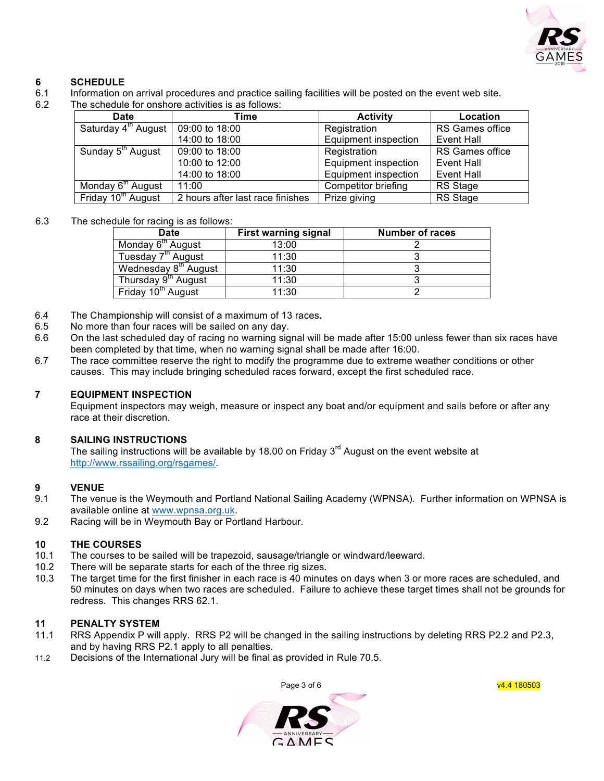

# **6 SCHEDULE**

- 6.1 Information on arrival procedures and practice sailing facilities will be posted on the event web site.
- 6.2 The schedule for onshore activities is as follows:

| Date                            | Time                             | <b>Activity</b>             | Location        |
|---------------------------------|----------------------------------|-----------------------------|-----------------|
| Saturday 4 <sup>th</sup> August | 09:00 to 18:00                   | Registration                | RS Games office |
|                                 | 14:00 to 18:00                   | <b>Equipment inspection</b> | Event Hall      |
| Sunday 5 <sup>th</sup> August   | 09:00 to 18:00                   | Registration                | RS Games office |
|                                 | 10:00 to 12:00                   | <b>Equipment inspection</b> | Event Hall      |
|                                 | 14:00 to 18:00                   | Equipment inspection        | Event Hall      |
| Monday 6 <sup>th</sup> August   | 11:00                            | Competitor briefing         | RS Stage        |
| Friday 10 <sup>th</sup> August  | 2 hours after last race finishes | Prize giving                | <b>RS</b> Stage |

#### 6.3 The schedule for racing is as follows:

| <b>Date</b>                      | <b>First warning signal</b> | Number of races |
|----------------------------------|-----------------------------|-----------------|
| Monday 6 <sup>th</sup> August    | 13:00                       |                 |
| Tuesday 7 <sup>th</sup> August   | 11:30                       |                 |
| Wednesday 8 <sup>th</sup> August | 11:30                       |                 |
| Thursday 9 <sup>th</sup> August  | 11:30                       |                 |
| Friday 10 <sup>th</sup> August   | 11:30                       |                 |

- 6.4 The Championship will consist of a maximum of 13 races**.**
- 6.5 No more than four races will be sailed on any day.
- 6.6 On the last scheduled day of racing no warning signal will be made after 15:00 unless fewer than six races have been completed by that time, when no warning signal shall be made after 16:00.
- 6.7 The race committee reserve the right to modify the programme due to extreme weather conditions or other causes. This may include bringing scheduled races forward, except the first scheduled race.

#### **7 EQUIPMENT INSPECTION**

Equipment inspectors may weigh, measure or inspect any boat and/or equipment and sails before or after any race at their discretion.

## **8 SAILING INSTRUCTIONS**

The sailing instructions will be available by 18.00 on Friday  $3<sup>rd</sup>$  August on the event website at http://www.rssailing.org/rsgames/.

# **9 VENUE**<br>9.1 The ven

- The venue is the Weymouth and Portland National Sailing Academy (WPNSA). Further information on WPNSA is available online at www.wpnsa.org.uk.
- 9.2 Racing will be in Weymouth Bay or Portland Harbour.

## **10 THE COURSES**

- 10.1 The courses to be sailed will be trapezoid, sausage/triangle or windward/leeward.
- 10.2 There will be separate starts for each of the three rig sizes.
- 10.3 The target time for the first finisher in each race is 40 minutes on days when 3 or more races are scheduled, and 50 minutes on days when two races are scheduled. Failure to achieve these target times shall not be grounds for redress. This changes RRS 62.1.

#### **11 PENALTY SYSTEM**

- 11.1 RRS Appendix P will apply. RRS P2 will be changed in the sailing instructions by deleting RRS P2.2 and P2.3, and by having RRS P2.1 apply to all penalties.
- 11.2 Decisions of the International Jury will be final as provided in Rule 70.5.



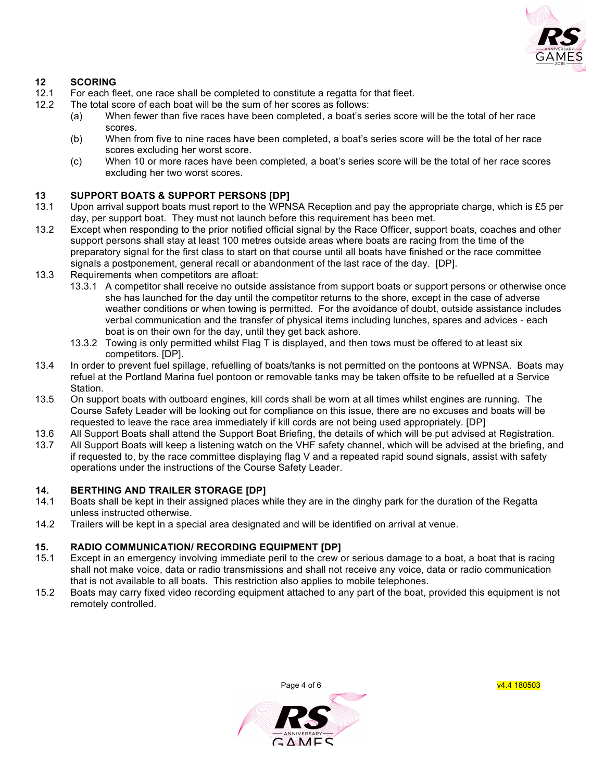

# **12 SCORING**

- For each fleet, one race shall be completed to constitute a regatta for that fleet.
- 12.2 The total score of each boat will be the sum of her scores as follows:
	- (a) When fewer than five races have been completed, a boat's series score will be the total of her race scores.
	- (b) When from five to nine races have been completed, a boat's series score will be the total of her race scores excluding her worst score.
	- (c) When 10 or more races have been completed, a boat's series score will be the total of her race scores excluding her two worst scores.

## **13 SUPPORT BOATS & SUPPORT PERSONS [DP]**

- 13.1 Upon arrival support boats must report to the WPNSA Reception and pay the appropriate charge, which is £5 per day, per support boat. They must not launch before this requirement has been met.
- 13.2 Except when responding to the prior notified official signal by the Race Officer, support boats, coaches and other support persons shall stay at least 100 metres outside areas where boats are racing from the time of the preparatory signal for the first class to start on that course until all boats have finished or the race committee signals a postponement, general recall or abandonment of the last race of the day. [DP].
- 13.3 Requirements when competitors are afloat:
	- 13.3.1 A competitor shall receive no outside assistance from support boats or support persons or otherwise once she has launched for the day until the competitor returns to the shore, except in the case of adverse weather conditions or when towing is permitted. For the avoidance of doubt, outside assistance includes verbal communication and the transfer of physical items including lunches, spares and advices - each boat is on their own for the day, until they get back ashore.
	- 13.3.2 Towing is only permitted whilst Flag T is displayed, and then tows must be offered to at least six competitors. [DP].
- 13.4 In order to prevent fuel spillage, refuelling of boats/tanks is not permitted on the pontoons at WPNSA. Boats may refuel at the Portland Marina fuel pontoon or removable tanks may be taken offsite to be refuelled at a Service Station.
- 13.5 On support boats with outboard engines, kill cords shall be worn at all times whilst engines are running. The Course Safety Leader will be looking out for compliance on this issue, there are no excuses and boats will be requested to leave the race area immediately if kill cords are not being used appropriately. [DP]
- 13.6 All Support Boats shall attend the Support Boat Briefing, the details of which will be put advised at Registration.
- 13.7 All Support Boats will keep a listening watch on the VHF safety channel, which will be advised at the briefing, and if requested to, by the race committee displaying flag V and a repeated rapid sound signals, assist with safety operations under the instructions of the Course Safety Leader.

## **14. BERTHING AND TRAILER STORAGE [DP]**

- 14.1 Boats shall be kept in their assigned places while they are in the dinghy park for the duration of the Regatta unless instructed otherwise.
- 14.2 Trailers will be kept in a special area designated and will be identified on arrival at venue.

## **15. RADIO COMMUNICATION/ RECORDING EQUIPMENT [DP]**

- 15.1 Except in an emergency involving immediate peril to the crew or serious damage to a boat, a boat that is racing shall not make voice, data or radio transmissions and shall not receive any voice, data or radio communication that is not available to all boats. This restriction also applies to mobile telephones.
- 15.2 Boats may carry fixed video recording equipment attached to any part of the boat, provided this equipment is not remotely controlled.



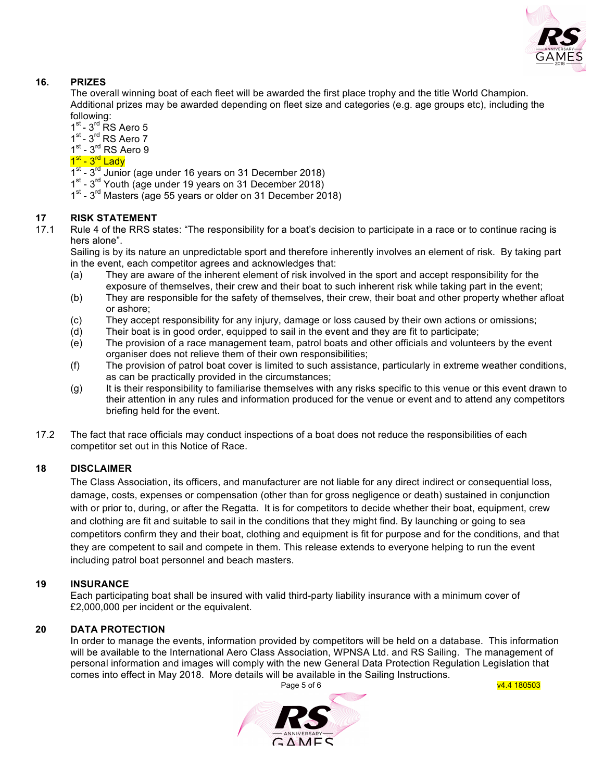

# **16. PRIZES**

The overall winning boat of each fleet will be awarded the first place trophy and the title World Champion. Additional prizes may be awarded depending on fleet size and categories (e.g. age groups etc), including the following:

 $1<sup>st</sup> - 3<sup>rd</sup>$  RS Aero 5

 $1<sup>st</sup> - 3<sup>rd</sup>$  RS Aero 7

 $1<sup>st</sup> - 3<sup>rd</sup>$  RS Aero 9

# 1 - 3 Row<br>1<sup>st</sup> - 3<sup>rd</sup> Lady

- $1^{st}$   $3^{rd}$  Junior (age under 16 years on 31 December 2018)
- 1st 3<sup>rd</sup> Youth (age under 19 years on 31 December 2018)
- 1<sup>st</sup> 3<sup>rd</sup> Masters (age 55 years or older on 31 December 2018)

## **17 RISK STATEMENT**

17.1 Rule 4 of the RRS states: "The responsibility for a boat's decision to participate in a race or to continue racing is hers alone".

Sailing is by its nature an unpredictable sport and therefore inherently involves an element of risk. By taking part in the event, each competitor agrees and acknowledges that:

- (a) They are aware of the inherent element of risk involved in the sport and accept responsibility for the exposure of themselves, their crew and their boat to such inherent risk while taking part in the event;
- (b) They are responsible for the safety of themselves, their crew, their boat and other property whether afloat or ashore;
- (c) They accept responsibility for any injury, damage or loss caused by their own actions or omissions;
- (d) Their boat is in good order, equipped to sail in the event and they are fit to participate;
- (e) The provision of a race management team, patrol boats and other officials and volunteers by the event organiser does not relieve them of their own responsibilities;
- (f) The provision of patrol boat cover is limited to such assistance, particularly in extreme weather conditions, as can be practically provided in the circumstances;
- (g) It is their responsibility to familiarise themselves with any risks specific to this venue or this event drawn to their attention in any rules and information produced for the venue or event and to attend any competitors briefing held for the event.
- 17.2 The fact that race officials may conduct inspections of a boat does not reduce the responsibilities of each competitor set out in this Notice of Race.

#### **18 DISCLAIMER**

The Class Association, its officers, and manufacturer are not liable for any direct indirect or consequential loss, damage, costs, expenses or compensation (other than for gross negligence or death) sustained in conjunction with or prior to, during, or after the Regatta. It is for competitors to decide whether their boat, equipment, crew and clothing are fit and suitable to sail in the conditions that they might find. By launching or going to sea competitors confirm they and their boat, clothing and equipment is fit for purpose and for the conditions, and that they are competent to sail and compete in them. This release extends to everyone helping to run the event including patrol boat personnel and beach masters.

#### **19 INSURANCE**

Each participating boat shall be insured with valid third-party liability insurance with a minimum cover of £2,000,000 per incident or the equivalent.

#### **20 DATA PROTECTION**

Page 5 of 6 v4.4 180503 In order to manage the events, information provided by competitors will be held on a database. This information will be available to the International Aero Class Association, WPNSA Ltd. and RS Sailing. The management of personal information and images will comply with the new General Data Protection Regulation Legislation that comes into effect in May 2018. More details will be available in the Sailing Instructions.